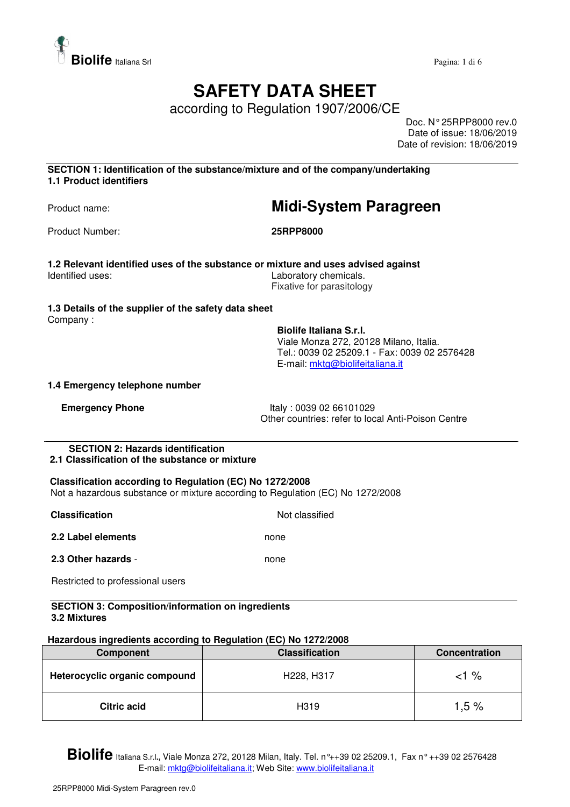

# **SAFETY DATA SHEET**

according to Regulation 1907/2006/CE

Doc. N° 25RPP8000 rev.0 Date of issue: 18/06/2019 Date of revision: 18/06/2019

**SECTION 1: Identification of the substance/mixture and of the company/undertaking 1.1 Product identifiers** 

## Product name: **Midi-System Paragreen**

Product Number: **25RPP8000** 

**1.2 Relevant identified uses of the substance or mixture and uses advised against**  Identified uses: Laboratory chemicals. Fixative for parasitology

### **1.3 Details of the supplier of the safety data sheet**

Company :

**Biolife Italiana S.r.l.**  Viale Monza 272, 20128 Milano, Italia. Tel.: 0039 02 25209.1 - Fax: 0039 02 2576428 E-mail: mktg@biolifeitaliana.it

### **1.4 Emergency telephone number**

**Emergency Phone** Italy : 0039 02 66101029 Other countries: refer to local Anti-Poison Centre

#### **SECTION 2: Hazards identification 2.1 Classification of the substance or mixture**

## **Classification according to Regulation (EC) No 1272/2008**

Not a hazardous substance or mixture according to Regulation (EC) No 1272/2008

| <b>Classification</b> | Not classified |
|-----------------------|----------------|
| 2.2 Label elements    | none           |
| 2.3 Other hazards -   | none           |

Restricted to professional users

#### **SECTION 3: Composition/information on ingredients 3.2 Mixtures**

### **Hazardous ingredients according to Regulation (EC) No 1272/2008**

| Component                     | <b>Classification</b> | <b>Concentration</b> |
|-------------------------------|-----------------------|----------------------|
| Heterocyclic organic compound | H228, H317            | <1 %                 |
| <b>Citric acid</b>            | H <sub>3</sub> 19     | 1.5%                 |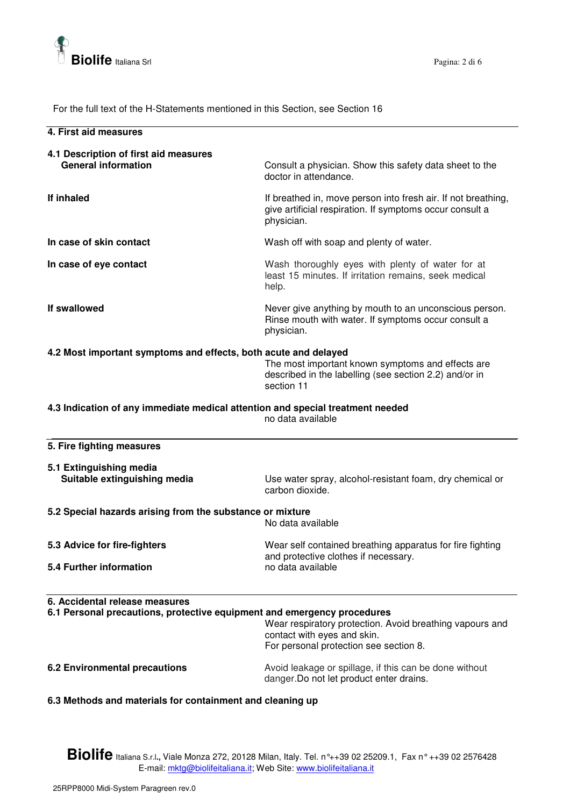

For the full text of the H-Statements mentioned in this Section, see Section 16

| The the full lead of the FI-Statements memoried in this Section, see Section To                           |                                                                                                                                         |
|-----------------------------------------------------------------------------------------------------------|-----------------------------------------------------------------------------------------------------------------------------------------|
| 4. First aid measures                                                                                     |                                                                                                                                         |
| 4.1 Description of first aid measures<br><b>General information</b>                                       | Consult a physician. Show this safety data sheet to the<br>doctor in attendance.                                                        |
| If inhaled                                                                                                | If breathed in, move person into fresh air. If not breathing,<br>give artificial respiration. If symptoms occur consult a<br>physician. |
| In case of skin contact                                                                                   | Wash off with soap and plenty of water.                                                                                                 |
| In case of eye contact                                                                                    | Wash thoroughly eyes with plenty of water for at<br>least 15 minutes. If irritation remains, seek medical<br>help.                      |
| If swallowed                                                                                              | Never give anything by mouth to an unconscious person.<br>Rinse mouth with water. If symptoms occur consult a<br>physician.             |
| 4.2 Most important symptoms and effects, both acute and delayed                                           | The most important known symptoms and effects are<br>described in the labelling (see section 2.2) and/or in<br>section 11               |
| 4.3 Indication of any immediate medical attention and special treatment needed                            | no data available                                                                                                                       |
| 5. Fire fighting measures                                                                                 |                                                                                                                                         |
| 5.1 Extinguishing media<br>Suitable extinguishing media                                                   | Use water spray, alcohol-resistant foam, dry chemical or<br>carbon dioxide.                                                             |
| 5.2 Special hazards arising from the substance or mixture                                                 | No data available                                                                                                                       |
| 5.3 Advice for fire-fighters                                                                              | Wear self contained breathing apparatus for fire fighting                                                                               |
| 5.4 Further information                                                                                   | and protective clothes if necessary.<br>no data available                                                                               |
| 6. Accidental release measures<br>6.1 Personal precautions, protective equipment and emergency procedures | Wear respiratory protection. Avoid breathing vapours and<br>contact with eyes and skin.<br>For personal protection see section 8.       |
| <b>6.2 Environmental precautions</b>                                                                      | Avoid leakage or spillage, if this can be done without<br>danger. Do not let product enter drains.                                      |

**6.3 Methods and materials for containment and cleaning up**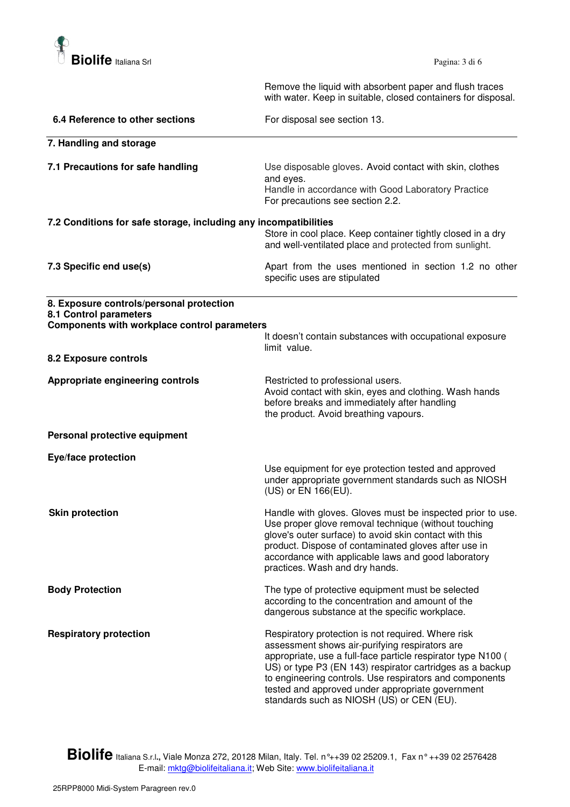

 Remove the liquid with absorbent paper and flush traces with water. Keep in suitable, closed containers for disposal.

| 6.4 Reference to other sections                                                                                    | For disposal see section 13.                                                                                                                                                                                                                                                                                                                                                                  |
|--------------------------------------------------------------------------------------------------------------------|-----------------------------------------------------------------------------------------------------------------------------------------------------------------------------------------------------------------------------------------------------------------------------------------------------------------------------------------------------------------------------------------------|
| 7. Handling and storage                                                                                            |                                                                                                                                                                                                                                                                                                                                                                                               |
| 7.1 Precautions for safe handling                                                                                  | Use disposable gloves. Avoid contact with skin, clothes<br>and eyes.<br>Handle in accordance with Good Laboratory Practice<br>For precautions see section 2.2.                                                                                                                                                                                                                                |
| 7.2 Conditions for safe storage, including any incompatibilities                                                   | Store in cool place. Keep container tightly closed in a dry<br>and well-ventilated place and protected from sunlight.                                                                                                                                                                                                                                                                         |
| 7.3 Specific end use(s)                                                                                            | Apart from the uses mentioned in section 1.2 no other<br>specific uses are stipulated                                                                                                                                                                                                                                                                                                         |
| 8. Exposure controls/personal protection<br>8.1 Control parameters<br>Components with workplace control parameters | It doesn't contain substances with occupational exposure                                                                                                                                                                                                                                                                                                                                      |
| 8.2 Exposure controls                                                                                              | limit value.                                                                                                                                                                                                                                                                                                                                                                                  |
| Appropriate engineering controls                                                                                   | Restricted to professional users.<br>Avoid contact with skin, eyes and clothing. Wash hands<br>before breaks and immediately after handling<br>the product. Avoid breathing vapours.                                                                                                                                                                                                          |
| Personal protective equipment                                                                                      |                                                                                                                                                                                                                                                                                                                                                                                               |
| Eye/face protection                                                                                                | Use equipment for eye protection tested and approved<br>under appropriate government standards such as NIOSH<br>(US) or EN 166(EU).                                                                                                                                                                                                                                                           |
| <b>Skin protection</b>                                                                                             | Handle with gloves. Gloves must be inspected prior to use.<br>Use proper glove removal technique (without touching<br>glove's outer surface) to avoid skin contact with this<br>product. Dispose of contaminated gloves after use in<br>accordance with applicable laws and good laboratory<br>practices. Wash and dry hands.                                                                 |
| <b>Body Protection</b>                                                                                             | The type of protective equipment must be selected<br>according to the concentration and amount of the<br>dangerous substance at the specific workplace.                                                                                                                                                                                                                                       |
| <b>Respiratory protection</b>                                                                                      | Respiratory protection is not required. Where risk<br>assessment shows air-purifying respirators are<br>appropriate, use a full-face particle respirator type N100 (<br>US) or type P3 (EN 143) respirator cartridges as a backup<br>to engineering controls. Use respirators and components<br>tested and approved under appropriate government<br>standards such as NIOSH (US) or CEN (EU). |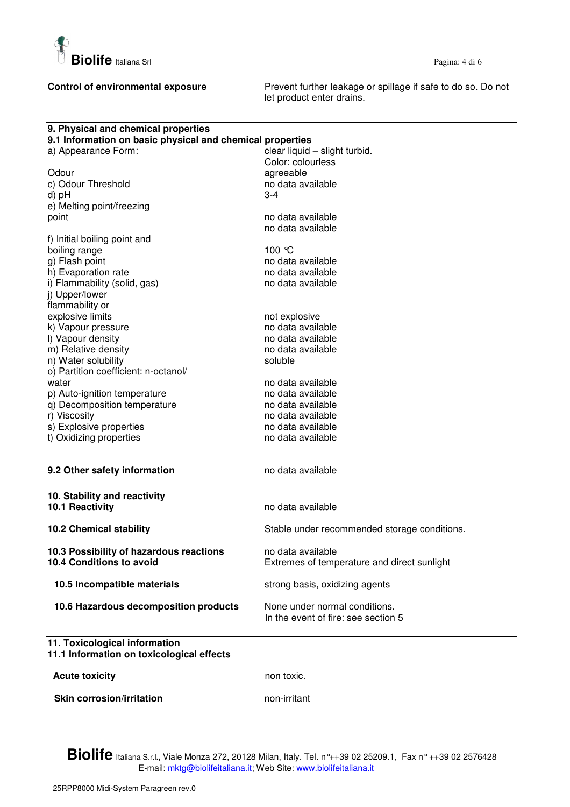

**Control of environmental exposure** Prevent further leakage or spillage if safe to do so. Do not let product enter drains.

| 9. Physical and chemical properties                       |                                              |
|-----------------------------------------------------------|----------------------------------------------|
| 9.1 Information on basic physical and chemical properties |                                              |
| a) Appearance Form:                                       | clear liquid - slight turbid.                |
|                                                           | Color: colourless                            |
| Odour                                                     | agreeable                                    |
| c) Odour Threshold                                        | no data available                            |
| d) pH                                                     | 3-4                                          |
| e) Melting point/freezing                                 |                                              |
| point                                                     | no data available                            |
|                                                           | no data available                            |
| f) Initial boiling point and                              |                                              |
| boiling range                                             | 100 ℃                                        |
| g) Flash point                                            | no data available                            |
| h) Evaporation rate                                       | no data available                            |
| i) Flammability (solid, gas)                              | no data available                            |
| j) Upper/lower                                            |                                              |
| flammability or                                           |                                              |
| explosive limits                                          | not explosive                                |
| k) Vapour pressure                                        | no data available                            |
| I) Vapour density                                         | no data available                            |
| m) Relative density                                       | no data available                            |
| n) Water solubility                                       | soluble                                      |
| o) Partition coefficient: n-octanol/                      |                                              |
| water                                                     |                                              |
|                                                           | no data available<br>no data available       |
| p) Auto-ignition temperature                              |                                              |
| q) Decomposition temperature                              | no data available                            |
| r) Viscosity                                              | no data available                            |
| s) Explosive properties                                   | no data available                            |
| t) Oxidizing properties                                   | no data available                            |
|                                                           |                                              |
| 9.2 Other safety information                              | no data available                            |
| 10. Stability and reactivity                              |                                              |
| 10.1 Reactivity                                           | no data available                            |
|                                                           |                                              |
| <b>10.2 Chemical stability</b>                            | Stable under recommended storage conditions. |
| 10.3 Possibility of hazardous reactions                   | no data available                            |
| 10.4 Conditions to avoid                                  | Extremes of temperature and direct sunlight  |
|                                                           |                                              |
| 10.5 Incompatible materials                               | strong basis, oxidizing agents               |
| 10.6 Hazardous decomposition products                     | None under normal conditions.                |
|                                                           | In the event of fire: see section 5          |
| 11. Toxicological information                             |                                              |
| 11.1 Information on toxicological effects                 |                                              |
| <b>Acute toxicity</b>                                     | non toxic.                                   |
| <b>Skin corrosion/irritation</b>                          | non-irritant                                 |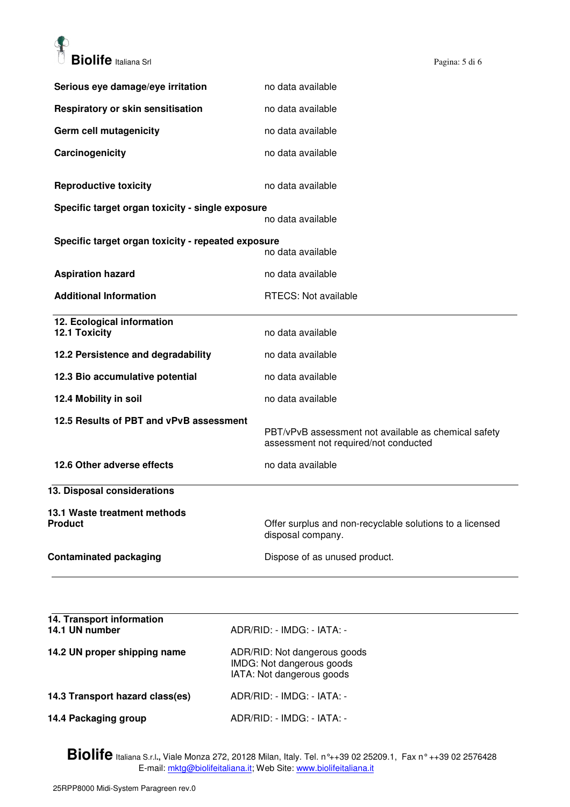

| Serious eye damage/eye irritation                  | no data available                                                                             |
|----------------------------------------------------|-----------------------------------------------------------------------------------------------|
| Respiratory or skin sensitisation                  | no data available                                                                             |
| Germ cell mutagenicity                             | no data available                                                                             |
| Carcinogenicity                                    | no data available                                                                             |
| <b>Reproductive toxicity</b>                       | no data available                                                                             |
| Specific target organ toxicity - single exposure   | no data available                                                                             |
| Specific target organ toxicity - repeated exposure |                                                                                               |
|                                                    | no data available                                                                             |
| <b>Aspiration hazard</b>                           | no data available                                                                             |
| <b>Additional Information</b>                      | RTECS: Not available                                                                          |
| 12. Ecological information<br>12.1 Toxicity        | no data available                                                                             |
| 12.2 Persistence and degradability                 | no data available                                                                             |
| 12.3 Bio accumulative potential                    | no data available                                                                             |
| 12.4 Mobility in soil                              | no data available                                                                             |
| 12.5 Results of PBT and vPvB assessment            | PBT/vPvB assessment not available as chemical safety<br>assessment not required/not conducted |
| 12.6 Other adverse effects                         | no data available                                                                             |
| 13. Disposal considerations                        |                                                                                               |
| 13.1 Waste treatment methods<br><b>Product</b>     | Offer surplus and non-recyclable solutions to a licensed<br>disposal company.                 |
| <b>Contaminated packaging</b>                      | Dispose of as unused product.                                                                 |
|                                                    |                                                                                               |

| 14. Transport information<br>14.1 UN number | ADR/RID: - IMDG: - IATA: -                                                             |
|---------------------------------------------|----------------------------------------------------------------------------------------|
| 14.2 UN proper shipping name                | ADR/RID: Not dangerous goods<br>IMDG: Not dangerous goods<br>IATA: Not dangerous goods |
| 14.3 Transport hazard class(es)             | ADR/RID: - IMDG: - IATA: -                                                             |
| 14.4 Packaging group                        | ADR/RID: - IMDG: - IATA: -                                                             |